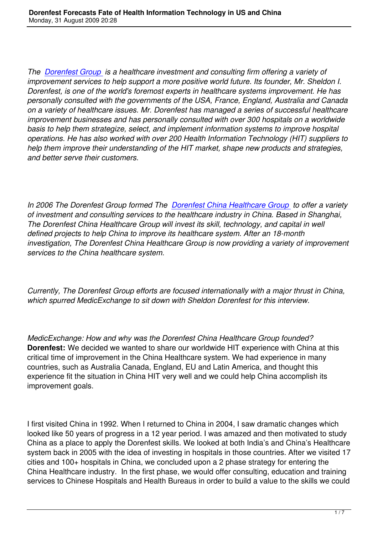*The Dorenfest Group is a healthcare investment and consulting firm offering a variety of improvement services to help support a more positive world future. Its founder, Mr. Sheldon I. Dorenfest, is one of the world's foremost experts in healthcare systems improvement. He has pers[onally consulted w](http://www.dorenfest.com/ASP/default.asp)ith the governments of the USA, France, England, Australia and Canada on a variety of healthcare issues. Mr. Dorenfest has managed a series of successful healthcare improvement businesses and has personally consulted with over 300 hospitals on a worldwide basis to help them strategize, select, and implement information systems to improve hospital operations. He has also worked with over 200 Health Information Technology (HIT) suppliers to help them improve their understanding of the HIT market, shape new products and strategies, and better serve their customers.* 

*In 2006 The Dorenfest Group formed The Dorenfest China Healthcare Group to offer a variety of investment and consulting services to the healthcare industry in China. Based in Shanghai, The Dorenfest China Healthcare Group will invest its skill, technology, and capital in well defined projects to help China to improve i[ts healthcare system. After an 18-mo](http://www.dorenfest.com/ASP/chinadefault.asp)nth investigation, The Dorenfest China Healthcare Group is now providing a variety of improvement services to the China healthcare system.*

*Currently, The Dorenfest Group efforts are focused internationally with a major thrust in China, which spurred MedicExchange to sit down with Sheldon Dorenfest for this interview.*

*MedicExchange: How and why was the Dorenfest China Healthcare Group founded?* **Dorenfest:** We decided we wanted to share our worldwide HIT experience with China at this critical time of improvement in the China Healthcare system. We had experience in many countries, such as Australia Canada, England, EU and Latin America, and thought this experience fit the situation in China HIT very well and we could help China accomplish its improvement goals.

I first visited China in 1992. When I returned to China in 2004, I saw dramatic changes which looked like 50 years of progress in a 12 year period. I was amazed and then motivated to study China as a place to apply the Dorenfest skills. We looked at both India's and China's Healthcare system back in 2005 with the idea of investing in hospitals in those countries. After we visited 17 cities and 100+ hospitals in China, we concluded upon a 2 phase strategy for entering the China Healthcare industry. In the first phase, we would offer consulting, education and training services to Chinese Hospitals and Health Bureaus in order to build a value to the skills we could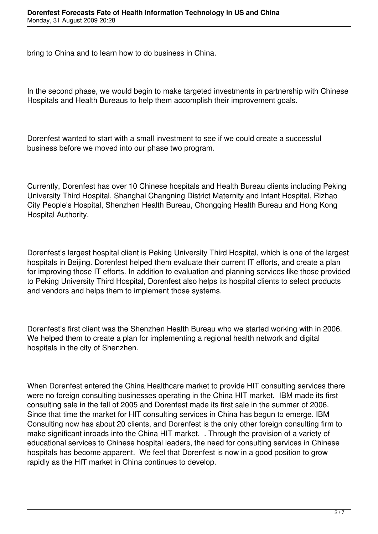bring to China and to learn how to do business in China.

In the second phase, we would begin to make targeted investments in partnership with Chinese Hospitals and Health Bureaus to help them accomplish their improvement goals.

Dorenfest wanted to start with a small investment to see if we could create a successful business before we moved into our phase two program.

Currently, Dorenfest has over 10 Chinese hospitals and Health Bureau clients including Peking University Third Hospital, Shanghai Changning District Maternity and Infant Hospital, Rizhao City People's Hospital, Shenzhen Health Bureau, Chongqing Health Bureau and Hong Kong Hospital Authority.

Dorenfest's largest hospital client is Peking University Third Hospital, which is one of the largest hospitals in Beijing. Dorenfest helped them evaluate their current IT efforts, and create a plan for improving those IT efforts. In addition to evaluation and planning services like those provided to Peking University Third Hospital, Dorenfest also helps its hospital clients to select products and vendors and helps them to implement those systems.

Dorenfest's first client was the Shenzhen Health Bureau who we started working with in 2006. We helped them to create a plan for implementing a regional health network and digital hospitals in the city of Shenzhen.

When Dorenfest entered the China Healthcare market to provide HIT consulting services there were no foreign consulting businesses operating in the China HIT market. IBM made its first consulting sale in the fall of 2005 and Dorenfest made its first sale in the summer of 2006. Since that time the market for HIT consulting services in China has begun to emerge. IBM Consulting now has about 20 clients, and Dorenfest is the only other foreign consulting firm to make significant inroads into the China HIT market. . Through the provision of a variety of educational services to Chinese hospital leaders, the need for consulting services in Chinese hospitals has become apparent. We feel that Dorenfest is now in a good position to grow rapidly as the HIT market in China continues to develop.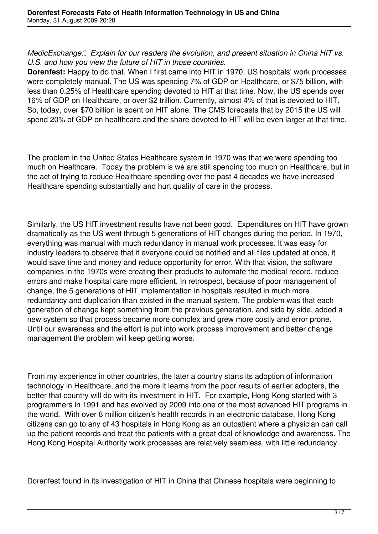*MedicExchange: Explain for our readers the evolution, and present situation in China HIT vs. U.S. and how you view the future of HIT in those countries.*

**Dorenfest:** Happy to do that. When I first came into HIT in 1970, US hospitals' work processes were completely manual. The US was spending 7% of GDP on Healthcare, or \$75 billion, with less than 0.25% of Healthcare spending devoted to HIT at that time. Now, the US spends over 16% of GDP on Healthcare, or over \$2 trillion. Currently, almost 4% of that is devoted to HIT. So, today, over \$70 billion is spent on HIT alone. The CMS forecasts that by 2015 the US will spend 20% of GDP on healthcare and the share devoted to HIT will be even larger at that time.

The problem in the United States Healthcare system in 1970 was that we were spending too much on Healthcare. Today the problem is we are still spending too much on Healthcare, but in the act of trying to reduce Healthcare spending over the past 4 decades we have increased Healthcare spending substantially and hurt quality of care in the process.

Similarly, the US HIT investment results have not been good. Expenditures on HIT have grown dramatically as the US went through 5 generations of HIT changes during the period. In 1970, everything was manual with much redundancy in manual work processes. It was easy for industry leaders to observe that if everyone could be notified and all files updated at once, it would save time and money and reduce opportunity for error. With that vision, the software companies in the 1970s were creating their products to automate the medical record, reduce errors and make hospital care more efficient. In retrospect, because of poor management of change, the 5 generations of HIT implementation in hospitals resulted in much more redundancy and duplication than existed in the manual system. The problem was that each generation of change kept something from the previous generation, and side by side, added a new system so that process became more complex and grew more costly and error prone. Until our awareness and the effort is put into work process improvement and better change management the problem will keep getting worse.

From my experience in other countries, the later a country starts its adoption of information technology in Healthcare, and the more it learns from the poor results of earlier adopters, the better that country will do with its investment in HIT. For example, Hong Kong started with 3 programmers in 1991 and has evolved by 2009 into one of the most advanced HIT programs in the world. With over 8 million citizen's health records in an electronic database, Hong Kong citizens can go to any of 43 hospitals in Hong Kong as an outpatient where a physician can call up the patient records and treat the patients with a great deal of knowledge and awareness. The Hong Kong Hospital Authority work processes are relatively seamless, with little redundancy.

Dorenfest found in its investigation of HIT in China that Chinese hospitals were beginning to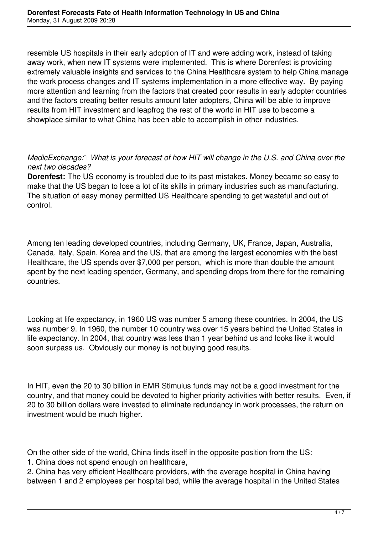resemble US hospitals in their early adoption of IT and were adding work, instead of taking away work, when new IT systems were implemented. This is where Dorenfest is providing extremely valuable insights and services to the China Healthcare system to help China manage the work process changes and IT systems implementation in a more effective way. By paying more attention and learning from the factors that created poor results in early adopter countries and the factors creating better results amount later adopters, China will be able to improve results from HIT investment and leapfrog the rest of the world in HIT use to become a showplace similar to what China has been able to accomplish in other industries.

## *MedicExchange: What is your forecast of how HIT will change in the U.S. and China over the next two decades?*

**Dorenfest:** The US economy is troubled due to its past mistakes. Money became so easy to make that the US began to lose a lot of its skills in primary industries such as manufacturing. The situation of easy money permitted US Healthcare spending to get wasteful and out of control.

Among ten leading developed countries, including Germany, UK, France, Japan, Australia, Canada, Italy, Spain, Korea and the US, that are among the largest economies with the best Healthcare, the US spends over \$7,000 per person, which is more than double the amount spent by the next leading spender, Germany, and spending drops from there for the remaining countries.

Looking at life expectancy, in 1960 US was number 5 among these countries. In 2004, the US was number 9. In 1960, the number 10 country was over 15 years behind the United States in life expectancy. In 2004, that country was less than 1 year behind us and looks like it would soon surpass us. Obviously our money is not buying good results.

In HIT, even the 20 to 30 billion in EMR Stimulus funds may not be a good investment for the country, and that money could be devoted to higher priority activities with better results. Even, if 20 to 30 billion dollars were invested to eliminate redundancy in work processes, the return on investment would be much higher.

On the other side of the world, China finds itself in the opposite position from the US:

1. China does not spend enough on healthcare,

2. China has very efficient Healthcare providers, with the average hospital in China having between 1 and 2 employees per hospital bed, while the average hospital in the United States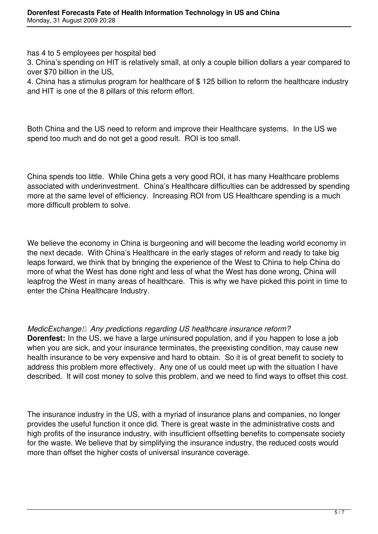has 4 to 5 employees per hospital bed

3. China's spending on HIT is relatively small, at only a couple billion dollars a year compared to over \$70 billion in the US,

4. China has a stimulus program for healthcare of \$ 125 billion to reform the healthcare industry and HIT is one of the 8 pillars of this reform effort.

Both China and the US need to reform and improve their Healthcare systems. In the US we spend too much and do not get a good result. ROI is too small.

China spends too little. While China gets a very good ROI, it has many Healthcare problems associated with underinvestment. China's Healthcare difficulties can be addressed by spending more at the same level of efficiency. Increasing ROI from US Healthcare spending is a much more difficult problem to solve.

We believe the economy in China is burgeoning and will become the leading world economy in the next decade. With China's Healthcare in the early stages of reform and ready to take big leaps forward, we think that by bringing the experience of the West to China to help China do more of what the West has done right and less of what the West has done wrong, China will leapfrog the West in many areas of healthcare. This is why we have picked this point in time to enter the China Healthcare Industry.

## *MedicExchange: Any predictions regarding US healthcare insurance reform?*

**Dorenfest:** In the US, we have a large uninsured population, and if you happen to lose a job when you are sick, and your insurance terminates, the preexisting condition, may cause new health insurance to be very expensive and hard to obtain. So it is of great benefit to society to address this problem more effectively. Any one of us could meet up with the situation I have described. It will cost money to solve this problem, and we need to find ways to offset this cost.

The insurance industry in the US, with a myriad of insurance plans and companies, no longer provides the useful function it once did. There is great waste in the administrative costs and high profits of the insurance industry, with insufficient offsetting benefits to compensate society for the waste. We believe that by simplifying the insurance industry, the reduced costs would more than offset the higher costs of universal insurance coverage.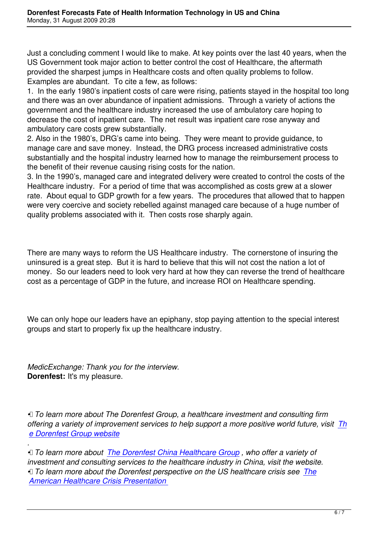Just a concluding comment I would like to make. At key points over the last 40 years, when the US Government took major action to better control the cost of Healthcare, the aftermath provided the sharpest jumps in Healthcare costs and often quality problems to follow. Examples are abundant. To cite a few, as follows:

1. In the early 1980's inpatient costs of care were rising, patients stayed in the hospital too long and there was an over abundance of inpatient admissions. Through a variety of actions the government and the healthcare industry increased the use of ambulatory care hoping to decrease the cost of inpatient care. The net result was inpatient care rose anyway and ambulatory care costs grew substantially.

2. Also in the 1980's, DRG's came into being. They were meant to provide guidance, to manage care and save money. Instead, the DRG process increased administrative costs substantially and the hospital industry learned how to manage the reimbursement process to the benefit of their revenue causing rising costs for the nation.

3. In the 1990's, managed care and integrated delivery were created to control the costs of the Healthcare industry. For a period of time that was accomplished as costs grew at a slower rate. About equal to GDP growth for a few years. The procedures that allowed that to happen were very coercive and society rebelled against managed care because of a huge number of quality problems associated with it. Then costs rose sharply again.

There are many ways to reform the US Healthcare industry. The cornerstone of insuring the uninsured is a great step. But it is hard to believe that this will not cost the nation a lot of money. So our leaders need to look very hard at how they can reverse the trend of healthcare cost as a percentage of GDP in the future, and increase ROI on Healthcare spending.

We can only hope our leaders have an epiphany, stop paying attention to the special interest groups and start to properly fix up the healthcare industry.

*MedicExchange: Thank you for the interview.* **Dorenfest:** It's my pleasure.

*• To learn more about The Dorenfest Group, a healthcare investment and consulting firm offering a variety of improvement services to help support a more positive world future, visit Th e Dorenfest Group website*

*. • To learn more about The Dorenfest China Healthcare Group , who offer a variety of [investment and consulting s](http://www.dorenfest.com/ASP/default.asp)ervices to the healthcare industry in China, visit the website. • To learn more about the Dorenfest perspective on the US healthcare crisis see The American Healthcare [Crisis Presentation](http://www.dorenfest.com/ASP/chinadefault.asp)*